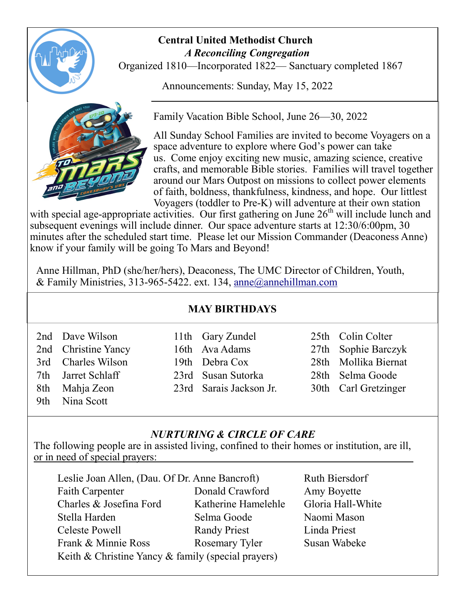

### **Central United Methodist Church**  *A Reconciling Congregation*

Organized 1810—Incorporated 1822— Sanctuary completed 1867

Announcements: Sunday, May 15, 2022



Family Vacation Bible School, June 26—30, 2022

All Sunday School Families are invited to become Voyagers on a space adventure to explore where God's power can take us. Come enjoy exciting new music, amazing science, creative crafts, and memorable Bible stories. Families will travel together around our Mars Outpost on missions to collect power elements of faith, boldness, thankfulness, kindness, and hope. Our littlest Voyagers (toddler to Pre-K) will adventure at their own station

with special age-appropriate activities. Our first gathering on June  $26<sup>th</sup>$  will include lunch and subsequent evenings will include dinner. Our space adventure starts at 12:30/6:00pm, 30 minutes after the scheduled start time. Please let our Mission Commander (Deaconess Anne) know if your family will be going To Mars and Beyond!

Anne Hillman, PhD (she/her/hers), Deaconess, The UMC Director of Children, Youth, & Family Ministries, 313-965-5422. ext. 134, [anne@annehillman.com](mailto:anne@annehillman.com)

### **MAY BIRTHDAYS**

| 2nd Dave Wilson     | 11th Gary Zundel        | 25th Colin Colter    |
|---------------------|-------------------------|----------------------|
| 2nd Christine Yancy | 16th Ava Adams          | 27th Sophie Barczyk  |
| 3rd Charles Wilson  | 19th Debra Cox          | 28th Mollika Biernat |
| 7th Jarret Schlaff  | 23rd Susan Sutorka      | 28th Selma Goode     |
| 8th Mahja Zeon      | 23rd Sarais Jackson Jr. | 30th Carl Gretzinger |
| 9th Nina Scott      |                         |                      |

### *NURTURING & CIRCLE OF CARE*

The following people are in assisted living, confined to their homes or institution, are ill, or in need of special prayers:

| Leslie Joan Allen, (Dau. Of Dr. Anne Bancroft)     | Ruth Biersdorf      |                   |  |  |  |
|----------------------------------------------------|---------------------|-------------------|--|--|--|
| <b>Faith Carpenter</b>                             | Donald Crawford     | Amy Boyette       |  |  |  |
| Charles & Josefina Ford                            | Katherine Hamelehle | Gloria Hall-White |  |  |  |
| Stella Harden                                      | Selma Goode         | Naomi Mason       |  |  |  |
| Celeste Powell                                     | <b>Randy Priest</b> | Linda Priest      |  |  |  |
| Frank & Minnie Ross                                | Rosemary Tyler      | Susan Wabeke      |  |  |  |
| Keith & Christine Yancy & family (special prayers) |                     |                   |  |  |  |